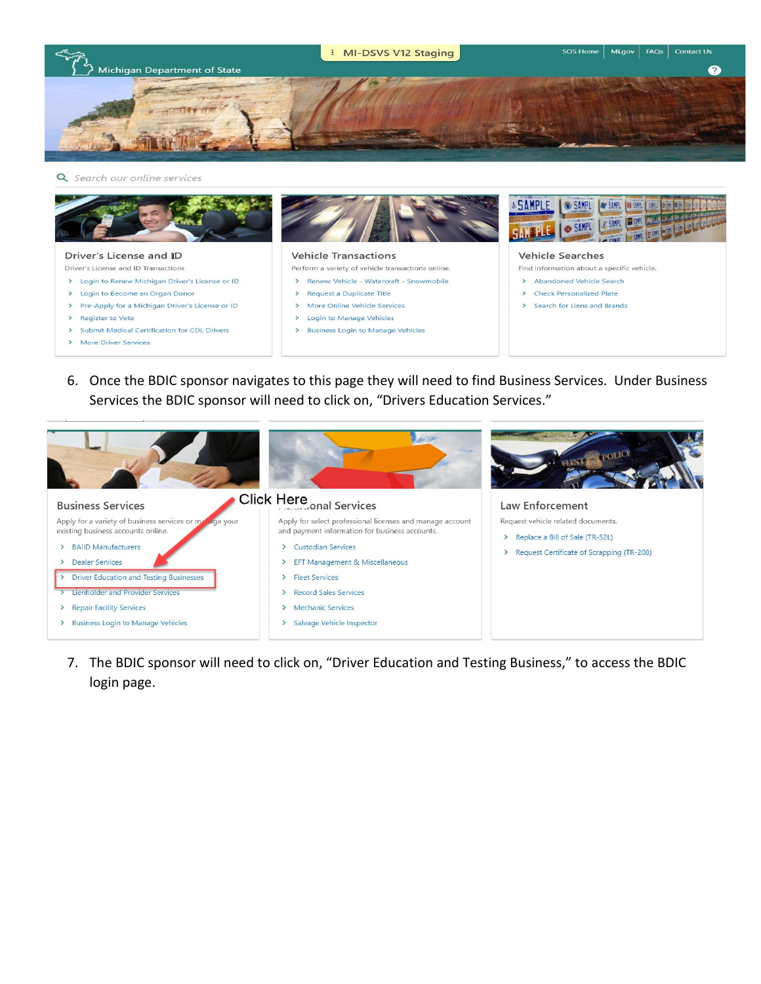



6. Once the BDIC sponsor navigates to this page they will need to find Business Services. Under Business Services the BDIC sponsor will need to click on, "Drivers Education Services."



7. The BDIC sponsor will need to click on, "Driver Education and Testing Business," to access the BDIC login page.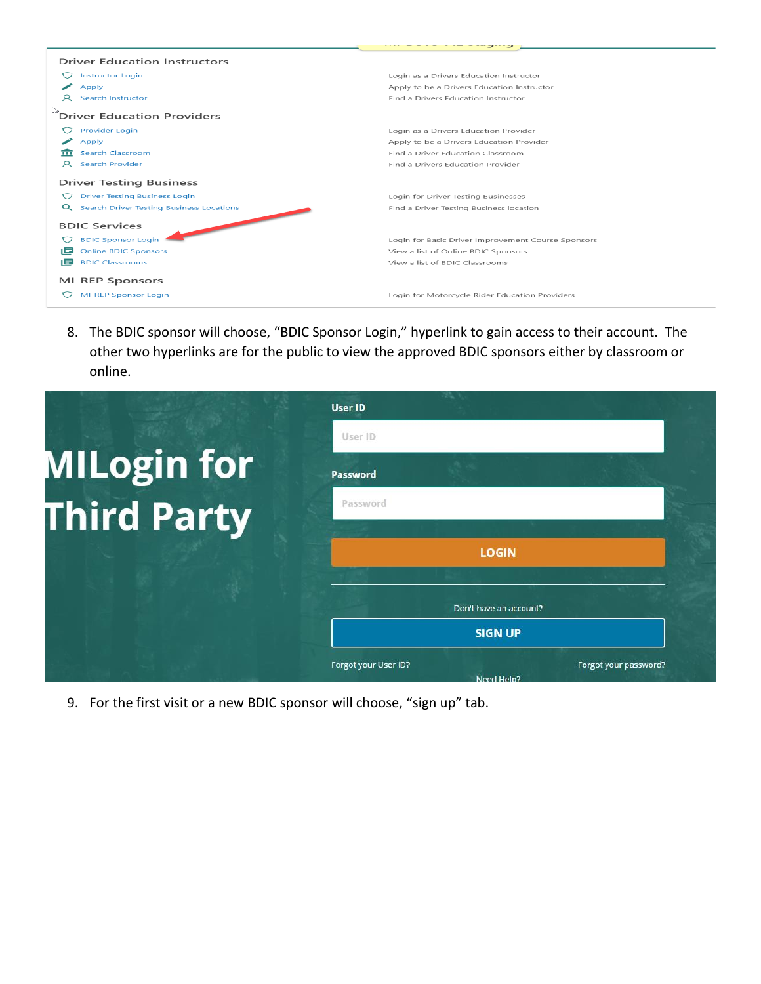|      | <b>Driver Education Instructors</b>             |                                                    |  |
|------|-------------------------------------------------|----------------------------------------------------|--|
|      | <b>Instructor Login</b>                         | Login as a Drivers Education Instructor            |  |
|      | Apply                                           | Apply to be a Drivers Education Instructor         |  |
|      | <b>Search Instructor</b>                        | Find a Drivers Education Instructor                |  |
|      | <b>Driver Education Providers</b>               |                                                    |  |
|      | Provider Login                                  | Login as a Drivers Education Provider              |  |
|      | Apply                                           | Apply to be a Drivers Education Provider           |  |
|      | <b>Search Classroom</b>                         | Find a Driver Education Classroom                  |  |
| R.   | Search Provider                                 | Find a Drivers Education Provider                  |  |
|      | <b>Driver Testing Business</b>                  |                                                    |  |
|      | <b>Driver Testing Business Login</b>            | Login for Driver Testing Businesses                |  |
| Q    | <b>Search Driver Testing Business Locations</b> | Find a Driver Testing Business location            |  |
|      | <b>BDIC Services</b>                            |                                                    |  |
|      | <b>BDIC Sponsor Login</b>                       | Login for Basic Driver Improvement Course Sponsors |  |
| ıΞ   | <b>Online BDIC Sponsors</b>                     | View a list of Online BDIC Sponsors                |  |
| 1≡ I | <b>BDIC Classrooms</b>                          | View a list of BDIC Classrooms                     |  |
|      | <b>MI-REP Sponsors</b>                          |                                                    |  |
|      | <b>MI-REP Sponsor Login</b>                     | Login for Motorcycle Rider Education Providers     |  |

8. The BDIC sponsor will choose, "BDIC Sponsor Login," hyperlink to gain access to their account. The other two hyperlinks are for the public to view the approved BDIC sponsors either by classroom or online.



9. For the first visit or a new BDIC sponsor will choose, "sign up" tab.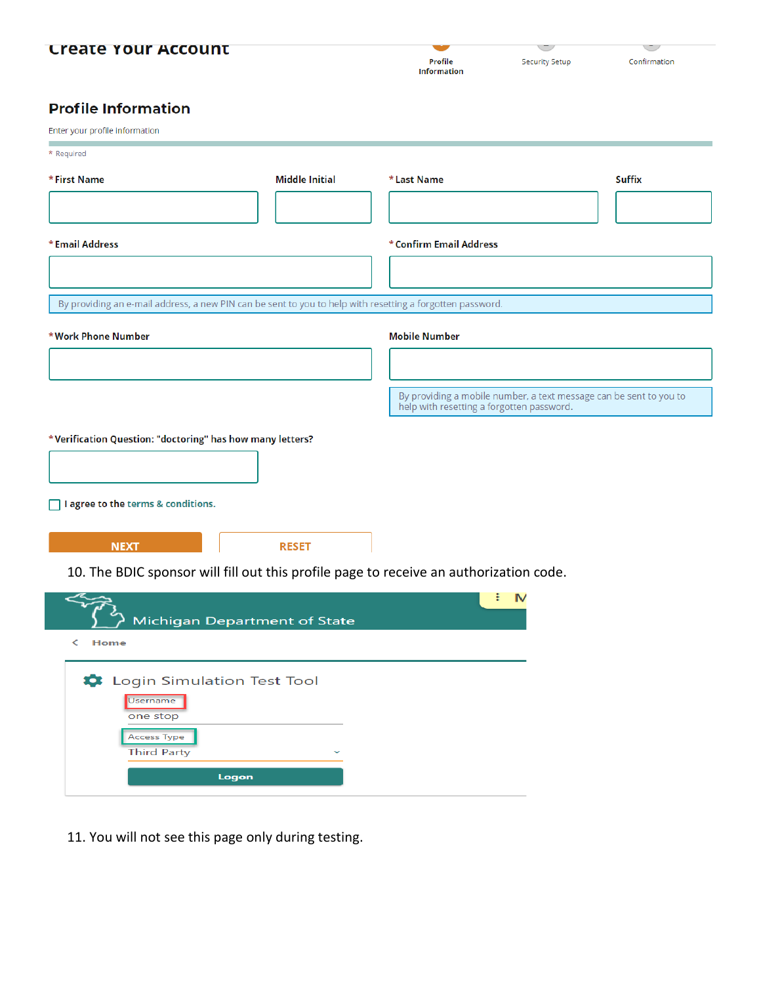# **Create Your Account**

| Profile            |  |
|--------------------|--|
| <b>Information</b> |  |

CT.

Confirmation

#### zti. ο. u el a.t

| <b>Profile Information</b>                                                                                |                       |                                           |                                                                    |
|-----------------------------------------------------------------------------------------------------------|-----------------------|-------------------------------------------|--------------------------------------------------------------------|
| Enter your profile information                                                                            |                       |                                           |                                                                    |
| * Required                                                                                                |                       |                                           |                                                                    |
| *First Name                                                                                               | <b>Middle Initial</b> | *Last Name                                | <b>Suffix</b>                                                      |
|                                                                                                           |                       |                                           |                                                                    |
| * Email Address                                                                                           |                       | *Confirm Email Address                    |                                                                    |
|                                                                                                           |                       |                                           |                                                                    |
| By providing an e-mail address, a new PIN can be sent to you to help with resetting a forgotten password. |                       |                                           |                                                                    |
| *Work Phone Number                                                                                        |                       | <b>Mobile Number</b>                      |                                                                    |
|                                                                                                           |                       |                                           |                                                                    |
|                                                                                                           |                       | help with resetting a forgotten password. | By providing a mobile number, a text message can be sent to you to |
| *Verification Question: "doctoring" has how many letters?<br>□ I agree to the terms & conditions.         |                       |                                           |                                                                    |
| <b>NEXT</b>                                                                                               | <b>RESET</b>          |                                           |                                                                    |

10. The BDIC sponsor will fill out this profile page to receive an authorization code.

| <b>Michigan Department of State</b>                                                                          | т |
|--------------------------------------------------------------------------------------------------------------|---|
| Home                                                                                                         |   |
| togin Simulation Test Tool<br>Username<br>one stop<br><b>Access Type</b><br><b>Third Party</b><br>$\tilde{}$ |   |
| Logon                                                                                                        |   |

11. You will not see this page only during testing.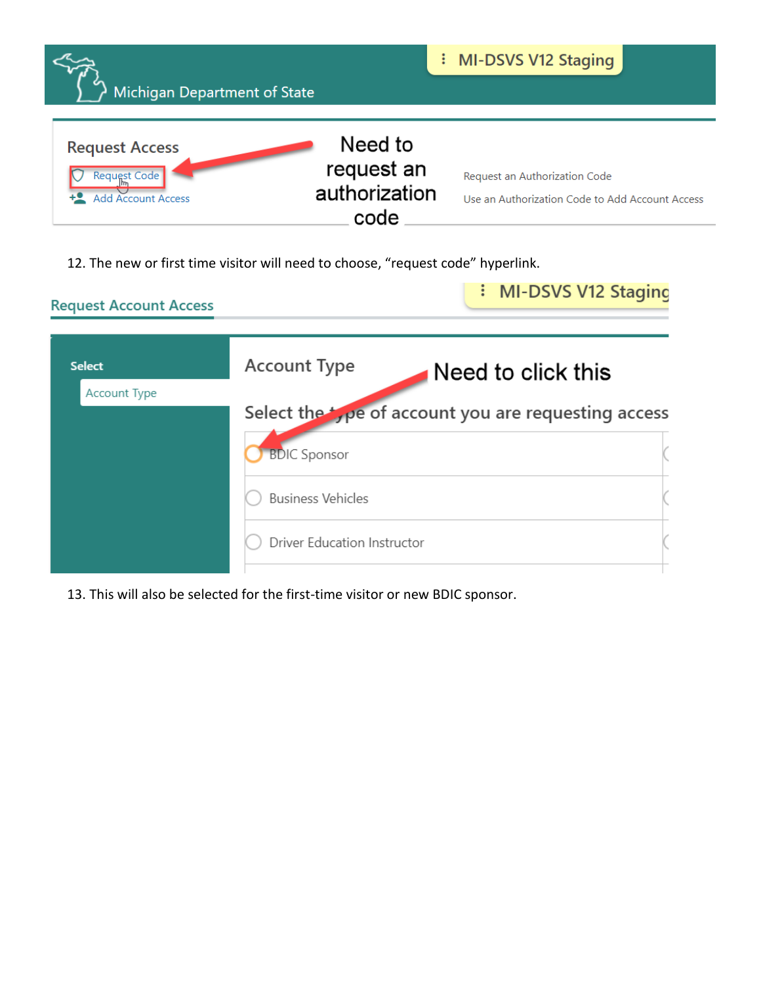| Michigan Department of State                                   |                                                | : MI-DSVS V12 Staging                                                            |
|----------------------------------------------------------------|------------------------------------------------|----------------------------------------------------------------------------------|
| <b>Request Access</b><br>Request Code<br><b>Account Access</b> | Need to<br>request an<br>authorization<br>code | Request an Authorization Code<br>Use an Authorization Code to Add Account Access |

12. The new or first time visitor will need to choose, "request code" hyperlink.

| <b>Request Account Access</b> |                             | : MI-DSVS V12 Staging                                            |
|-------------------------------|-----------------------------|------------------------------------------------------------------|
| <b>Select</b>                 | <b>Account Type</b>         | Need to click this                                               |
| <b>Account Type</b>           | <b>BDIC Sponsor</b>         | Select the $\frac{1}{2}$ pe of account you are requesting access |
|                               | <b>Business Vehicles</b>    |                                                                  |
|                               | Driver Education Instructor |                                                                  |

13. This will also be selected for the first-time visitor or new BDIC sponsor.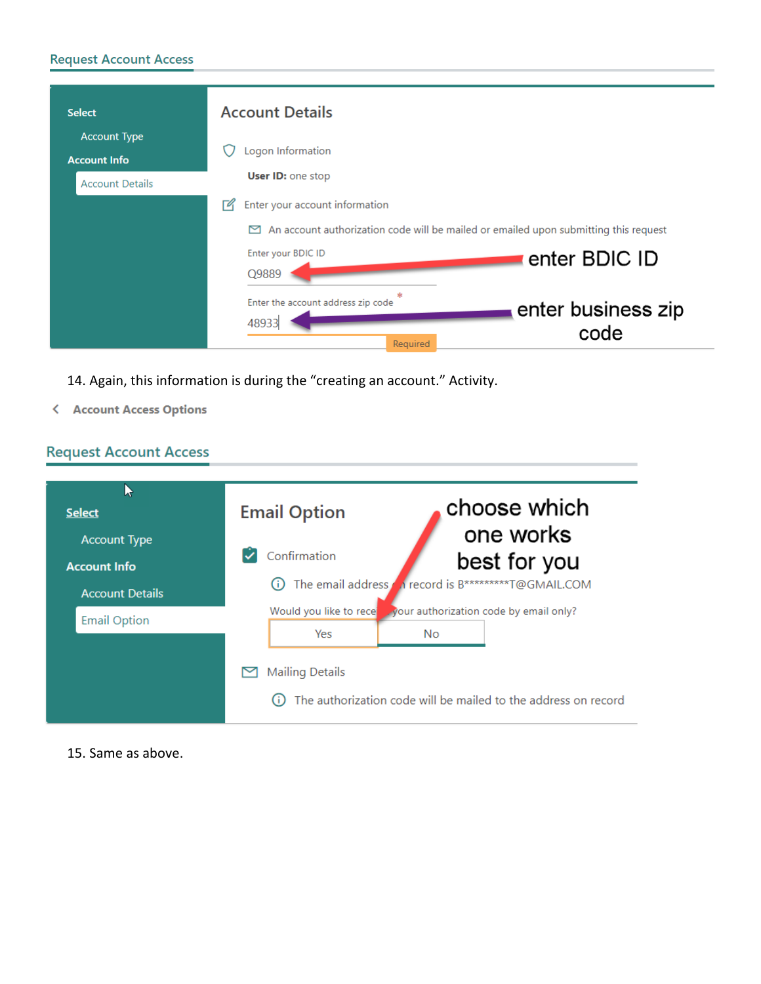# **Request Account Access**

| <b>Select</b>                                                        | <b>Account Details</b>                                                                                                                                                            |
|----------------------------------------------------------------------|-----------------------------------------------------------------------------------------------------------------------------------------------------------------------------------|
| <b>Account Type</b><br><b>Account Info</b><br><b>Account Details</b> | Logon Information<br>User ID: one stop                                                                                                                                            |
|                                                                      | Enter your account information<br>⊺″<br>An account authorization code will be mailed or emailed upon submitting this request<br>⊠<br>Enter your BDIC ID<br>enter BDIC ID<br>Q9889 |
|                                                                      | 米<br>Enter the account address zip code<br>enter business zip<br>48933<br>code<br>Required                                                                                        |

14. Again, this information is during the "creating an account." Activity.

< Account Access Options

# **Request Account Access**

| <b>Select</b>                                 | <b>Email Option</b>                     | choose which<br>one works                                      |
|-----------------------------------------------|-----------------------------------------|----------------------------------------------------------------|
| <b>Account Type</b><br><b>Account Info</b>    | Confirmation<br>The email address<br>G) | best for you<br>n record is B**********T@GMAIL.COM             |
| <b>Account Details</b><br><b>Email Option</b> | Would you like to recel<br>Yes          | your authorization code by email only?<br>No.                  |
|                                               | <b>Mailing Details</b><br>Œ             | The authorization code will be mailed to the address on record |

15. Same as above.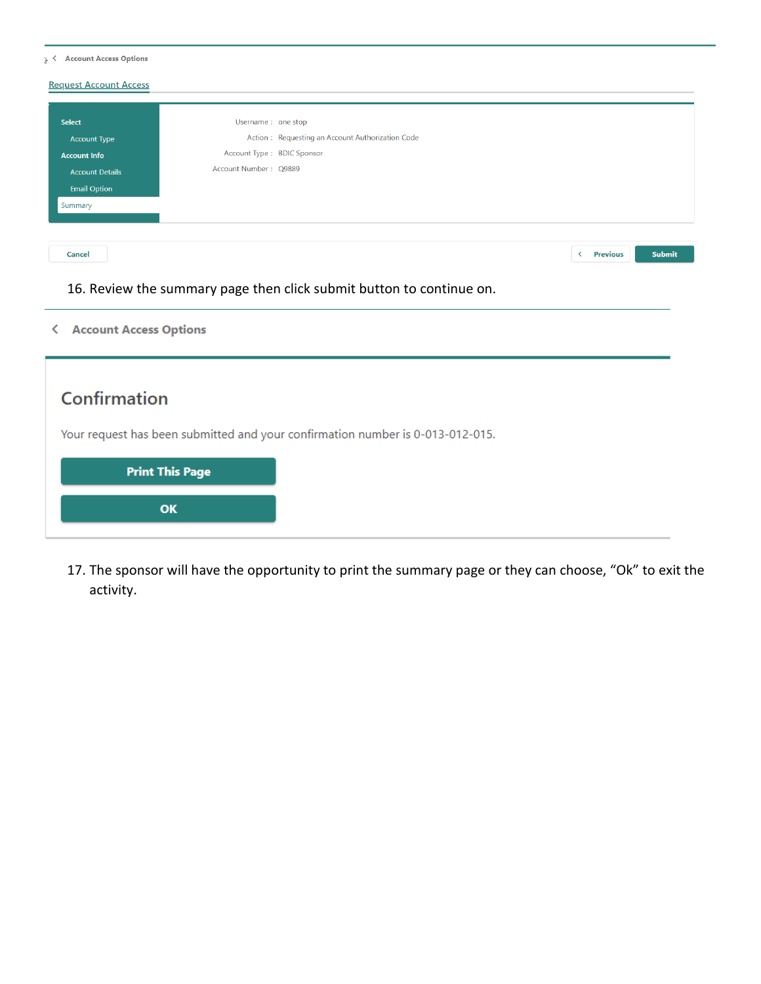| <b>Request Account Access</b> |                                                  |  |  |  |
|-------------------------------|--------------------------------------------------|--|--|--|
|                               |                                                  |  |  |  |
| Select                        | Username: one stop                               |  |  |  |
| <b>Account Type</b>           | Action: Requesting an Account Authorization Code |  |  |  |
| <b>Account Info</b>           | Account Type: BDIC Sponsor                       |  |  |  |
| <b>Account Details</b>        | Account Number: Q9889                            |  |  |  |
| <b>Email Option</b>           |                                                  |  |  |  |
| Summary                       |                                                  |  |  |  |
|                               |                                                  |  |  |  |
|                               |                                                  |  |  |  |
| Cancel                        | Submit<br>Previous<br>≺                          |  |  |  |
|                               |                                                  |  |  |  |

16. Review the summary page then click submit button to continue on.

< Account Access Options

| Confirmation                                                                   |  |  |
|--------------------------------------------------------------------------------|--|--|
| Your request has been submitted and your confirmation number is 0-013-012-015. |  |  |
| <b>Print This Page</b>                                                         |  |  |
| OK                                                                             |  |  |
|                                                                                |  |  |

17. The sponsor will have the opportunity to print the summary page or they can choose, "Ok" to exit the activity.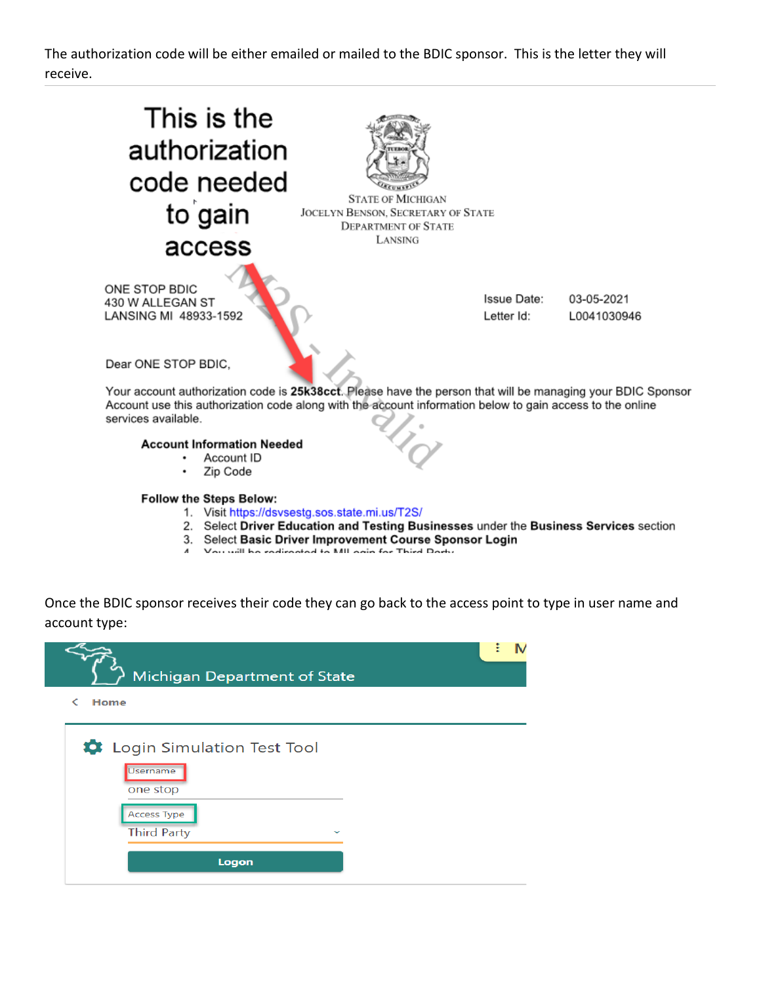The authorization code will be either emailed or mailed to the BDIC sponsor. This is the letter they will receive.



- 3. Select Basic Driver Improvement Course Sponsor Login
- Vou will be redirected to MIL onin for Third Dorty

Once the BDIC sponsor receives their code they can go back to the access point to type in user name and account type:

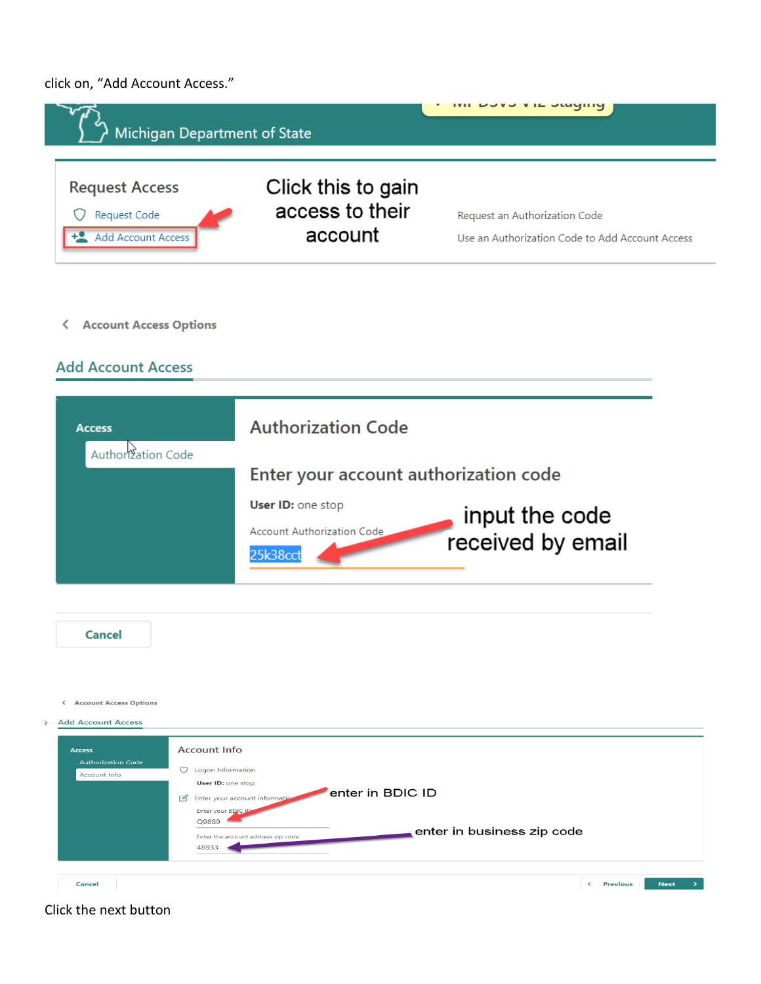click on, "Add Account Access."





|        | <b>Cancel</b>                                                     |                                                                                                                                                                                                                                                 |
|--------|-------------------------------------------------------------------|-------------------------------------------------------------------------------------------------------------------------------------------------------------------------------------------------------------------------------------------------|
| $\geq$ | < Account Access Options<br><b>Add Account Access</b>             |                                                                                                                                                                                                                                                 |
|        | <b>Access</b><br><b>Authorization Code</b><br><b>Account Info</b> | <b>Account Info</b><br>O Logon Information<br>User ID: one stop<br>enter in BDIC ID<br>Enter your account information<br>$\sqrt{a}$<br>Enter your BDIC ID<br>Q9889<br>enter in business zip code<br>Enter the account address zip code<br>48933 |
|        | Cancel                                                            | <b>Previous</b><br><b>Next</b><br>÷.<br>$\prec$                                                                                                                                                                                                 |

## Click the next button